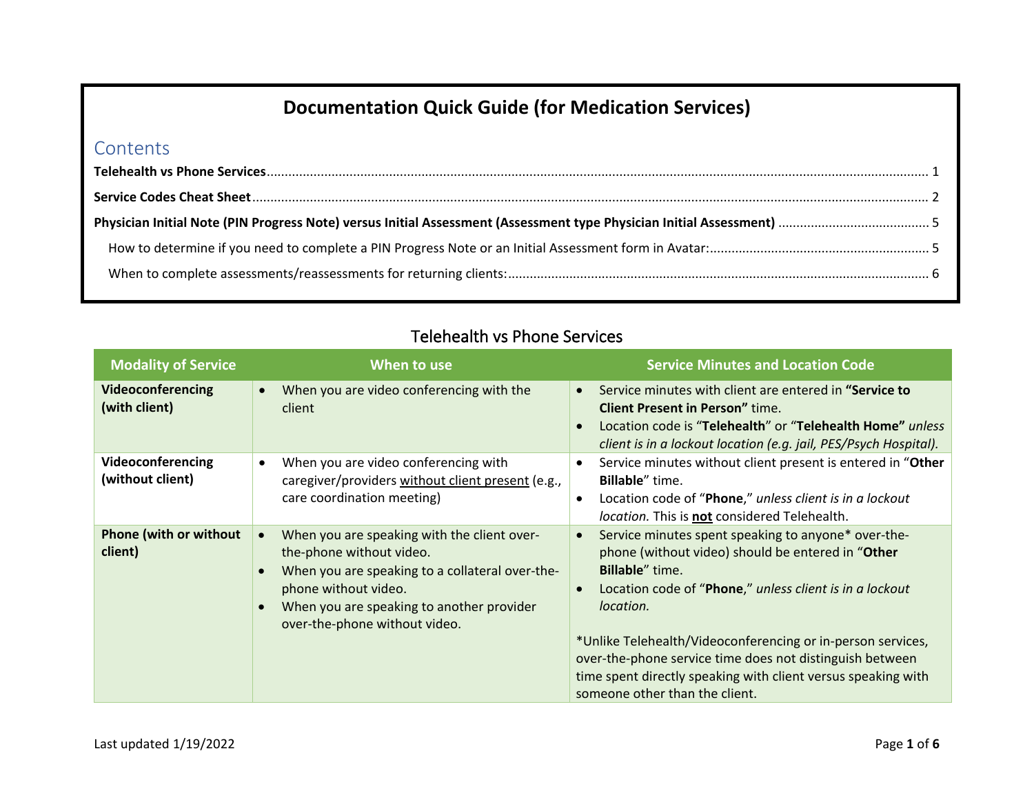# **Documentation Quick Guide (for Medication Services)**

#### **Contents**

<span id="page-0-0"></span>

| <b>Modality of Service</b>               | When to use                                                                                                                                                                                                                      | <b>Service Minutes and Location Code</b>                                                                                                                                                                                                                                                                                                                                                                                                                            |
|------------------------------------------|----------------------------------------------------------------------------------------------------------------------------------------------------------------------------------------------------------------------------------|---------------------------------------------------------------------------------------------------------------------------------------------------------------------------------------------------------------------------------------------------------------------------------------------------------------------------------------------------------------------------------------------------------------------------------------------------------------------|
| Videoconferencing<br>(with client)       | When you are video conferencing with the<br>client                                                                                                                                                                               | Service minutes with client are entered in "Service to<br>$\bullet$<br><b>Client Present in Person"</b> time.<br>Location code is "Telehealth" or "Telehealth Home" unless<br>$\bullet$<br>client is in a lockout location (e.g. jail, PES/Psych Hospital).                                                                                                                                                                                                         |
| Videoconferencing<br>(without client)    | When you are video conferencing with<br>caregiver/providers without client present (e.g.,<br>care coordination meeting)                                                                                                          | Service minutes without client present is entered in "Other<br>$\bullet$<br><b>Billable</b> " time.<br>Location code of "Phone," unless client is in a lockout<br>$\bullet$<br>location. This is <b>not</b> considered Telehealth.                                                                                                                                                                                                                                  |
| <b>Phone (with or without</b><br>client) | When you are speaking with the client over-<br>the-phone without video.<br>When you are speaking to a collateral over-the-<br>phone without video.<br>When you are speaking to another provider<br>over-the-phone without video. | Service minutes spent speaking to anyone* over-the-<br>$\bullet$<br>phone (without video) should be entered in "Other<br><b>Billable</b> " time.<br>Location code of "Phone," unless client is in a lockout<br>$\bullet$<br>location.<br>*Unlike Telehealth/Videoconferencing or in-person services,<br>over-the-phone service time does not distinguish between<br>time spent directly speaking with client versus speaking with<br>someone other than the client. |

## Telehealth vs Phone Services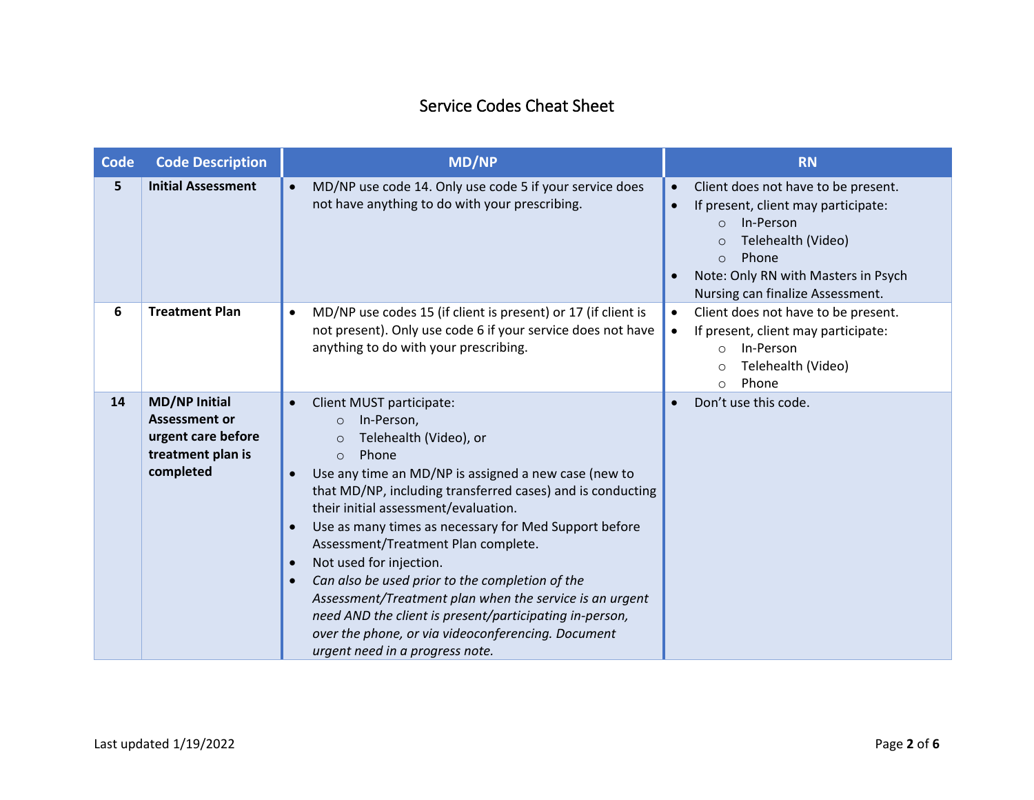## Service Codes Cheat Sheet

<span id="page-1-0"></span>

| <b>Code</b> | <b>Code Description</b>                                                                              | <b>MD/NP</b>                                                                                                                                                                                                                                                                                                                                                                                                                                                                                                                                                                                                                                                                                                                            | <b>RN</b>                                                                                                                                                                                                                                                                     |
|-------------|------------------------------------------------------------------------------------------------------|-----------------------------------------------------------------------------------------------------------------------------------------------------------------------------------------------------------------------------------------------------------------------------------------------------------------------------------------------------------------------------------------------------------------------------------------------------------------------------------------------------------------------------------------------------------------------------------------------------------------------------------------------------------------------------------------------------------------------------------------|-------------------------------------------------------------------------------------------------------------------------------------------------------------------------------------------------------------------------------------------------------------------------------|
| 5           | <b>Initial Assessment</b>                                                                            | MD/NP use code 14. Only use code 5 if your service does<br>$\bullet$<br>not have anything to do with your prescribing.                                                                                                                                                                                                                                                                                                                                                                                                                                                                                                                                                                                                                  | Client does not have to be present.<br>$\bullet$<br>If present, client may participate:<br>$\bullet$<br>In-Person<br>$\Omega$<br>Telehealth (Video)<br>$\circ$<br>Phone<br>$\bigcirc$<br>Note: Only RN with Masters in Psych<br>$\bullet$<br>Nursing can finalize Assessment. |
| 6           | <b>Treatment Plan</b>                                                                                | MD/NP use codes 15 (if client is present) or 17 (if client is<br>$\bullet$<br>not present). Only use code 6 if your service does not have<br>anything to do with your prescribing.                                                                                                                                                                                                                                                                                                                                                                                                                                                                                                                                                      | Client does not have to be present.<br>$\bullet$<br>If present, client may participate:<br>$\bullet$<br>In-Person<br>$\circ$<br>Telehealth (Video)<br>$\circ$<br>Phone<br>$\circ$                                                                                             |
| 14          | <b>MD/NP Initial</b><br><b>Assessment or</b><br>urgent care before<br>treatment plan is<br>completed | Client MUST participate:<br>$\bullet$<br>In-Person,<br>$\circ$<br>Telehealth (Video), or<br>$\circ$<br>Phone<br>$\Omega$<br>Use any time an MD/NP is assigned a new case (new to<br>$\bullet$<br>that MD/NP, including transferred cases) and is conducting<br>their initial assessment/evaluation.<br>Use as many times as necessary for Med Support before<br>$\bullet$<br>Assessment/Treatment Plan complete.<br>Not used for injection.<br>$\bullet$<br>Can also be used prior to the completion of the<br>$\bullet$<br>Assessment/Treatment plan when the service is an urgent<br>need AND the client is present/participating in-person,<br>over the phone, or via videoconferencing. Document<br>urgent need in a progress note. | Don't use this code.<br>$\bullet$                                                                                                                                                                                                                                             |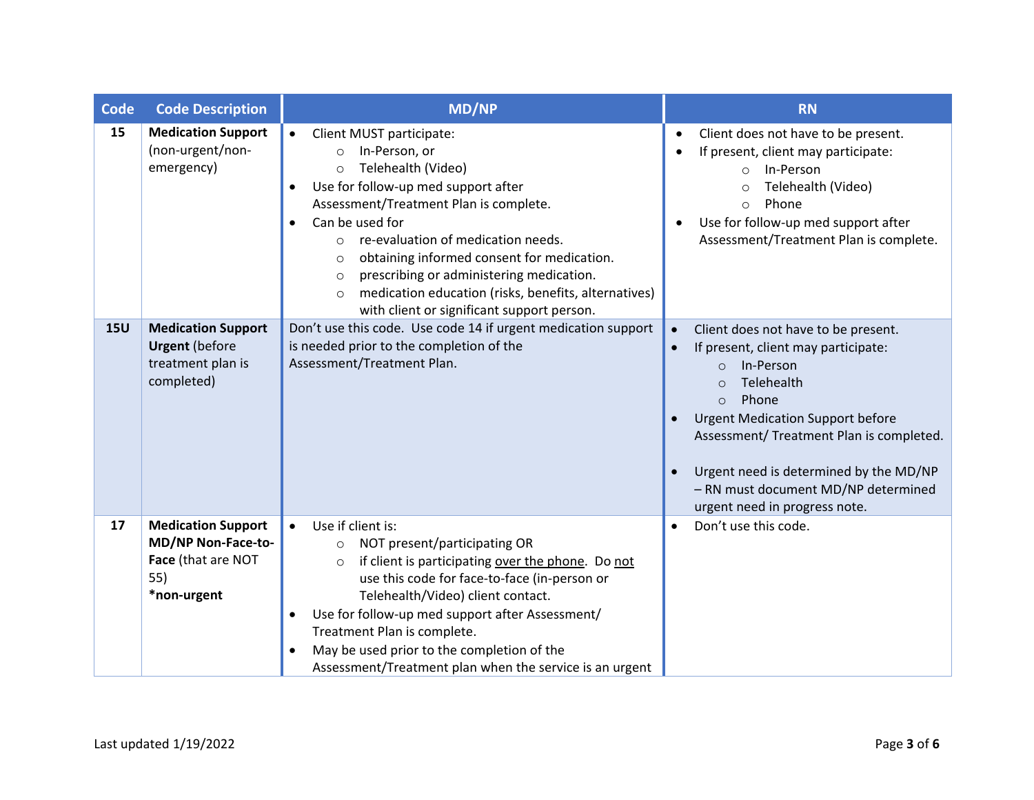| <b>Code</b> | <b>Code Description</b>                                                                     | <b>MD/NP</b>                                                                                                                                                                                                                                                                                                                                                                                                                                                                                                             | <b>RN</b>                                                                                                                                                                                                                                                                                                                                                                                                       |
|-------------|---------------------------------------------------------------------------------------------|--------------------------------------------------------------------------------------------------------------------------------------------------------------------------------------------------------------------------------------------------------------------------------------------------------------------------------------------------------------------------------------------------------------------------------------------------------------------------------------------------------------------------|-----------------------------------------------------------------------------------------------------------------------------------------------------------------------------------------------------------------------------------------------------------------------------------------------------------------------------------------------------------------------------------------------------------------|
| 15          | <b>Medication Support</b><br>(non-urgent/non-<br>emergency)                                 | Client MUST participate:<br>$\bullet$<br>In-Person, or<br>$\circ$<br>Telehealth (Video)<br>$\Omega$<br>Use for follow-up med support after<br>$\bullet$<br>Assessment/Treatment Plan is complete.<br>Can be used for<br>$\bullet$<br>re-evaluation of medication needs.<br>$\bigcirc$<br>obtaining informed consent for medication.<br>$\Omega$<br>prescribing or administering medication.<br>$\circ$<br>medication education (risks, benefits, alternatives)<br>$\Omega$<br>with client or significant support person. | Client does not have to be present.<br>$\bullet$<br>If present, client may participate:<br>In-Person<br>$\circ$<br>Telehealth (Video)<br>$\circ$<br>Phone<br>$\circ$<br>Use for follow-up med support after<br>Assessment/Treatment Plan is complete.                                                                                                                                                           |
| <b>15U</b>  | <b>Medication Support</b><br><b>Urgent</b> (before<br>treatment plan is<br>completed)       | Don't use this code. Use code 14 if urgent medication support<br>is needed prior to the completion of the<br>Assessment/Treatment Plan.                                                                                                                                                                                                                                                                                                                                                                                  | Client does not have to be present.<br>$\bullet$<br>If present, client may participate:<br>$\bullet$<br>In-Person<br>$\Omega$<br>Telehealth<br>$\Omega$<br>Phone<br>$\Omega$<br><b>Urgent Medication Support before</b><br>$\bullet$<br>Assessment/ Treatment Plan is completed.<br>Urgent need is determined by the MD/NP<br>$\bullet$<br>- RN must document MD/NP determined<br>urgent need in progress note. |
| 17          | <b>Medication Support</b><br>MD/NP Non-Face-to-<br>Face (that are NOT<br>55)<br>*non-urgent | Use if client is:<br>NOT present/participating OR<br>$\circ$<br>if client is participating over the phone. Do not<br>$\circ$<br>use this code for face-to-face (in-person or<br>Telehealth/Video) client contact.<br>Use for follow-up med support after Assessment/<br>$\bullet$<br>Treatment Plan is complete.<br>May be used prior to the completion of the<br>Assessment/Treatment plan when the service is an urgent                                                                                                | Don't use this code.<br>$\bullet$                                                                                                                                                                                                                                                                                                                                                                               |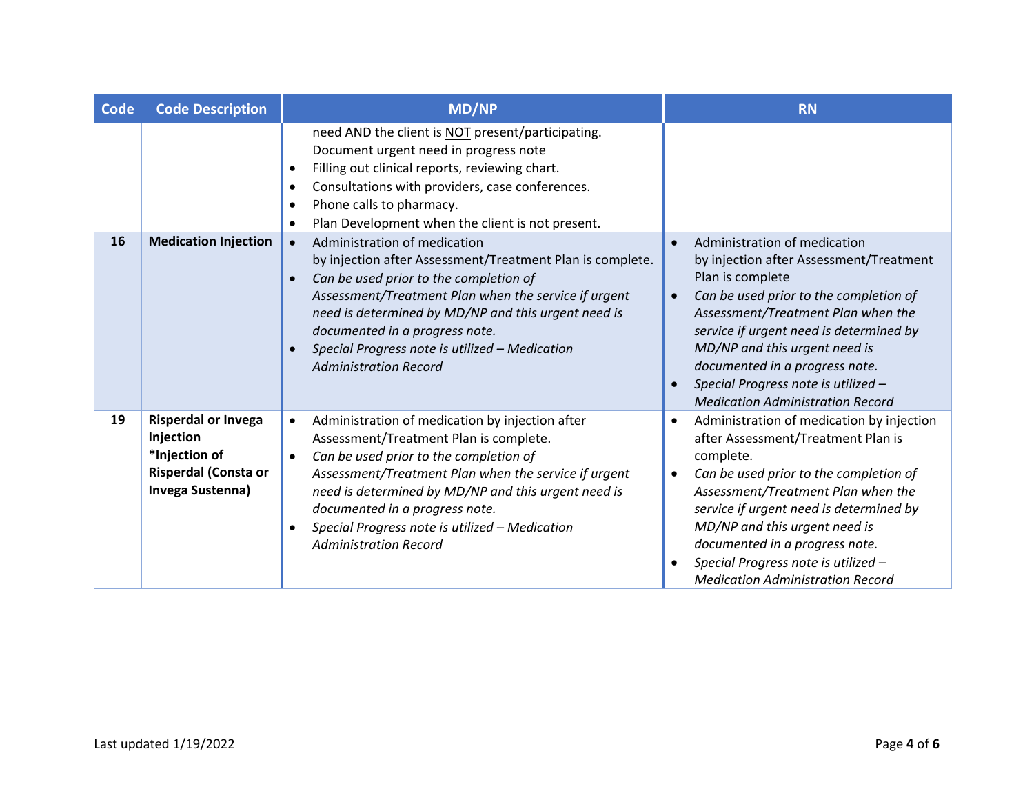| <b>Code</b> | <b>Code Description</b>                                                                                     | <b>MD/NP</b>                                                                                                                                                                                                                                                                                                                                                                                                  | <b>RN</b>                                                                                                                                                                                                                                                                                                                                                                                                          |
|-------------|-------------------------------------------------------------------------------------------------------------|---------------------------------------------------------------------------------------------------------------------------------------------------------------------------------------------------------------------------------------------------------------------------------------------------------------------------------------------------------------------------------------------------------------|--------------------------------------------------------------------------------------------------------------------------------------------------------------------------------------------------------------------------------------------------------------------------------------------------------------------------------------------------------------------------------------------------------------------|
|             |                                                                                                             | need AND the client is NOT present/participating.<br>Document urgent need in progress note<br>Filling out clinical reports, reviewing chart.<br>$\bullet$<br>Consultations with providers, case conferences.<br>$\bullet$<br>Phone calls to pharmacy.<br>$\bullet$<br>Plan Development when the client is not present.<br>$\bullet$                                                                           |                                                                                                                                                                                                                                                                                                                                                                                                                    |
| 16          | <b>Medication Injection</b>                                                                                 | Administration of medication<br>$\bullet$<br>by injection after Assessment/Treatment Plan is complete.<br>Can be used prior to the completion of<br>$\bullet$<br>Assessment/Treatment Plan when the service if urgent<br>need is determined by MD/NP and this urgent need is<br>documented in a progress note.<br>Special Progress note is utilized - Medication<br>$\bullet$<br><b>Administration Record</b> | Administration of medication<br>$\bullet$<br>by injection after Assessment/Treatment<br>Plan is complete<br>Can be used prior to the completion of<br>$\bullet$<br>Assessment/Treatment Plan when the<br>service if urgent need is determined by<br>MD/NP and this urgent need is<br>documented in a progress note.<br>Special Progress note is utilized -<br>$\bullet$<br><b>Medication Administration Record</b> |
| 19          | <b>Risperdal or Invega</b><br>Injection<br>*Injection of<br><b>Risperdal (Consta or</b><br>Invega Sustenna) | Administration of medication by injection after<br>$\bullet$<br>Assessment/Treatment Plan is complete.<br>Can be used prior to the completion of<br>$\bullet$<br>Assessment/Treatment Plan when the service if urgent<br>need is determined by MD/NP and this urgent need is<br>documented in a progress note.<br>Special Progress note is utilized - Medication<br><b>Administration Record</b>              | Administration of medication by injection<br>$\bullet$<br>after Assessment/Treatment Plan is<br>complete.<br>Can be used prior to the completion of<br>$\bullet$<br>Assessment/Treatment Plan when the<br>service if urgent need is determined by<br>MD/NP and this urgent need is<br>documented in a progress note.<br>Special Progress note is utilized -<br><b>Medication Administration Record</b>             |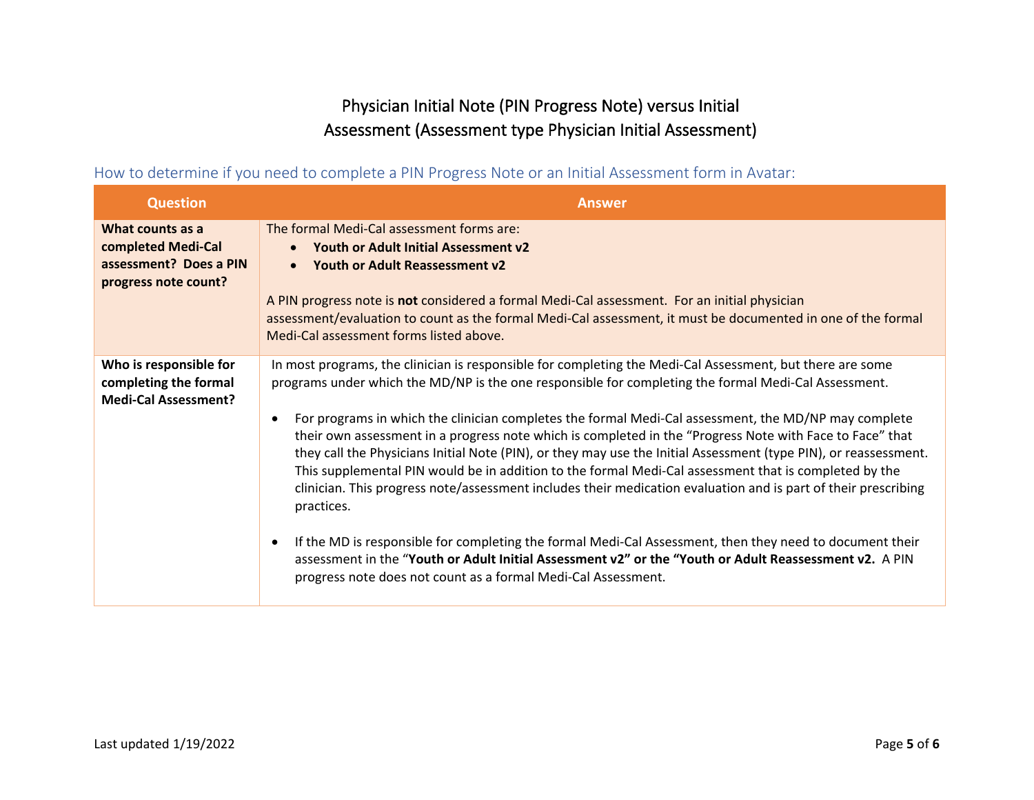## Physician Initial Note (PIN Progress Note) versus Initial Assessment (Assessment type Physician Initial Assessment)

<span id="page-4-1"></span><span id="page-4-0"></span>How to determine if you need to complete a PIN Progress Note or an Initial Assessment form in Avatar:

| <b>Question</b>                                                                          | <b>Answer</b>                                                                                                                                                                                                                                                                                                                                                                                                                                                                                                                                                                                                                                                                                                                                                                                                                                                                                                                                                                                                                                                                                          |
|------------------------------------------------------------------------------------------|--------------------------------------------------------------------------------------------------------------------------------------------------------------------------------------------------------------------------------------------------------------------------------------------------------------------------------------------------------------------------------------------------------------------------------------------------------------------------------------------------------------------------------------------------------------------------------------------------------------------------------------------------------------------------------------------------------------------------------------------------------------------------------------------------------------------------------------------------------------------------------------------------------------------------------------------------------------------------------------------------------------------------------------------------------------------------------------------------------|
| What counts as a<br>completed Medi-Cal<br>assessment? Does a PIN<br>progress note count? | The formal Medi-Cal assessment forms are:<br>Youth or Adult Initial Assessment v2<br>$\bullet$<br>Youth or Adult Reassessment v2<br>$\bullet$<br>A PIN progress note is not considered a formal Medi-Cal assessment. For an initial physician<br>assessment/evaluation to count as the formal Medi-Cal assessment, it must be documented in one of the formal<br>Medi-Cal assessment forms listed above.                                                                                                                                                                                                                                                                                                                                                                                                                                                                                                                                                                                                                                                                                               |
| Who is responsible for<br>completing the formal<br><b>Medi-Cal Assessment?</b>           | In most programs, the clinician is responsible for completing the Medi-Cal Assessment, but there are some<br>programs under which the MD/NP is the one responsible for completing the formal Medi-Cal Assessment.<br>For programs in which the clinician completes the formal Medi-Cal assessment, the MD/NP may complete<br>their own assessment in a progress note which is completed in the "Progress Note with Face to Face" that<br>they call the Physicians Initial Note (PIN), or they may use the Initial Assessment (type PIN), or reassessment.<br>This supplemental PIN would be in addition to the formal Medi-Cal assessment that is completed by the<br>clinician. This progress note/assessment includes their medication evaluation and is part of their prescribing<br>practices.<br>If the MD is responsible for completing the formal Medi-Cal Assessment, then they need to document their<br>$\bullet$<br>assessment in the "Youth or Adult Initial Assessment v2" or the "Youth or Adult Reassessment v2. A PIN<br>progress note does not count as a formal Medi-Cal Assessment. |